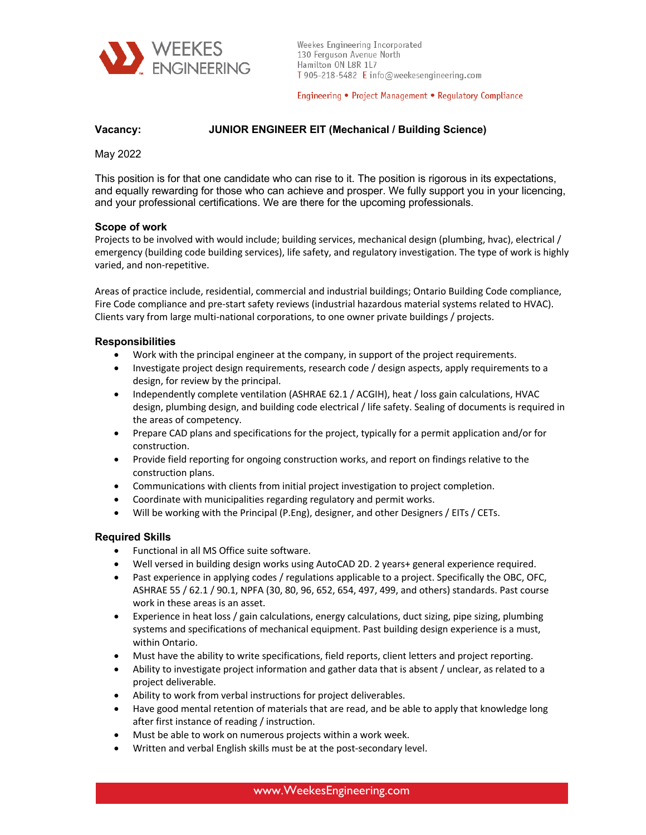

Weekes Engineering Incorporated 130 Ferguson Avenue North Hamilton ON L8R 1L7 T 905-218-5482 E info@weekesengineering.com

Engineering • Project Management • Regulatory Compliance

# **Vacancy: JUNIOR ENGINEER EIT (Mechanical / Building Science)**

May 2022

This position is for that one candidate who can rise to it. The position is rigorous in its expectations, and equally rewarding for those who can achieve and prosper. We fully support you in your licencing, and your professional certifications. We are there for the upcoming professionals.

# **Scope of work**

Projects to be involved with would include; building services, mechanical design (plumbing, hvac), electrical / emergency (building code building services), life safety, and regulatory investigation. The type of work is highly varied, and non-repetitive.

Areas of practice include, residential, commercial and industrial buildings; Ontario Building Code compliance, Fire Code compliance and pre-start safety reviews (industrial hazardous material systems related to HVAC). Clients vary from large multi-national corporations, to one owner private buildings / projects.

### **Responsibilities**

- Work with the principal engineer at the company, in support of the project requirements.
- Investigate project design requirements, research code / design aspects, apply requirements to a design, for review by the principal.
- Independently complete ventilation (ASHRAE 62.1 / ACGIH), heat / loss gain calculations, HVAC design, plumbing design, and building code electrical / life safety. Sealing of documents is required in the areas of competency.
- Prepare CAD plans and specifications for the project, typically for a permit application and/or for construction.
- Provide field reporting for ongoing construction works, and report on findings relative to the construction plans.
- Communications with clients from initial project investigation to project completion.
- Coordinate with municipalities regarding regulatory and permit works.
- Will be working with the Principal (P.Eng), designer, and other Designers / EITs / CETs.

# **Required Skills**

- Functional in all MS Office suite software.
- Well versed in building design works using AutoCAD 2D. 2 years+ general experience required.
- Past experience in applying codes / regulations applicable to a project. Specifically the OBC, OFC, ASHRAE 55 / 62.1 / 90.1, NPFA (30, 80, 96, 652, 654, 497, 499, and others) standards. Past course work in these areas is an asset.
- Experience in heat loss / gain calculations, energy calculations, duct sizing, pipe sizing, plumbing systems and specifications of mechanical equipment. Past building design experience is a must, within Ontario.
- Must have the ability to write specifications, field reports, client letters and project reporting.
- Ability to investigate project information and gather data that is absent / unclear, as related to a project deliverable.
- Ability to work from verbal instructions for project deliverables.
- Have good mental retention of materials that are read, and be able to apply that knowledge long after first instance of reading / instruction.
- Must be able to work on numerous projects within a work week.
- Written and verbal English skills must be at the post-secondary level.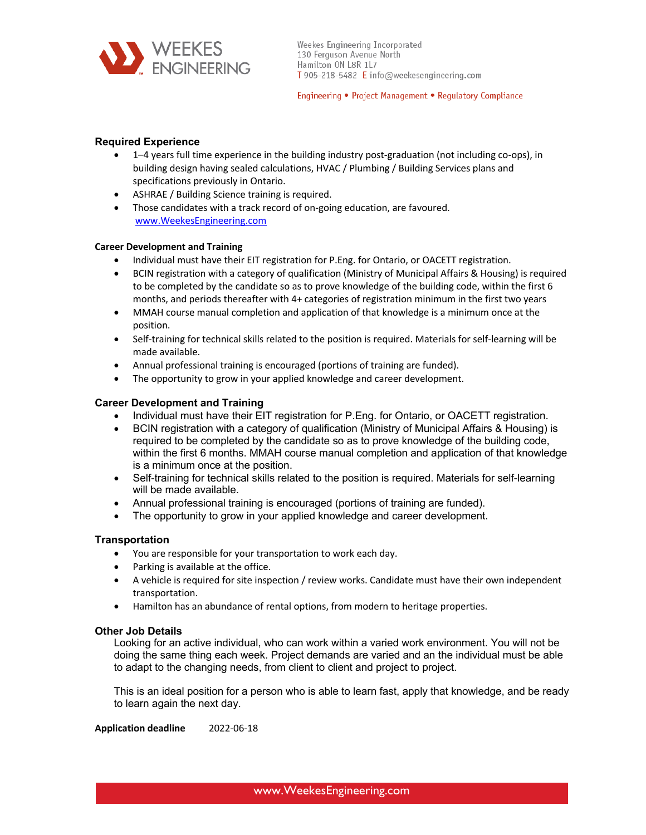

Engineering • Project Management • Regulatory Compliance

# **Required Experience**

- 1–4 years full time experience in the building industry post-graduation (not including co-ops), in building design having sealed calculations, HVAC / Plumbing / Building Services plans and specifications previously in Ontario.
- ASHRAE / Building Science training is required.
- Those candidates with a track record of on-going education, are favoured. www.WeekesEngineering.com

# **Career Development and Training**

- Individual must have their EIT registration for P.Eng. for Ontario, or OACETT registration.
- BCIN registration with a category of qualification (Ministry of Municipal Affairs & Housing) is required to be completed by the candidate so as to prove knowledge of the building code, within the first 6 months, and periods thereafter with 4+ categories of registration minimum in the first two years
- MMAH course manual completion and application of that knowledge is a minimum once at the position.
- Self-training for technical skills related to the position is required. Materials for self-learning will be made available.
- Annual professional training is encouraged (portions of training are funded).
- The opportunity to grow in your applied knowledge and career development.

# **Career Development and Training**

- Individual must have their EIT registration for P.Eng. for Ontario, or OACETT registration.
- BCIN registration with a category of qualification (Ministry of Municipal Affairs & Housing) is required to be completed by the candidate so as to prove knowledge of the building code, within the first 6 months. MMAH course manual completion and application of that knowledge is a minimum once at the position.
- Self-training for technical skills related to the position is required. Materials for self-learning will be made available.
- Annual professional training is encouraged (portions of training are funded).
- The opportunity to grow in your applied knowledge and career development.

### **Transportation**

- You are responsible for your transportation to work each day.
- Parking is available at the office.
- A vehicle is required for site inspection / review works. Candidate must have their own independent transportation.
- Hamilton has an abundance of rental options, from modern to heritage properties.

### **Other Job Details**

Looking for an active individual, who can work within a varied work environment. You will not be doing the same thing each week. Project demands are varied and an the individual must be able to adapt to the changing needs, from client to client and project to project.

This is an ideal position for a person who is able to learn fast, apply that knowledge, and be ready to learn again the next day.

**Application deadline** 2022-06-18

www.WeekesEngineering.com